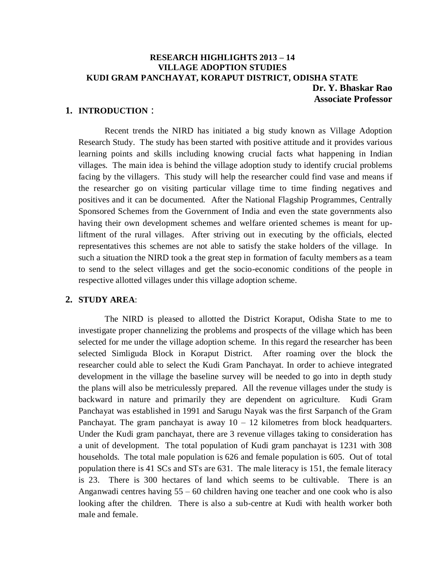# **RESEARCH HIGHLIGHTS 2013 – 14 VILLAGE ADOPTION STUDIES KUDI GRAM PANCHAYAT, KORAPUT DISTRICT, ODISHA STATE Dr. Y. Bhaskar Rao Associate Professor**

### **1. INTRODUCTION** :

Recent trends the NIRD has initiated a big study known as Village Adoption Research Study. The study has been started with positive attitude and it provides various learning points and skills including knowing crucial facts what happening in Indian villages. The main idea is behind the village adoption study to identify crucial problems facing by the villagers. This study will help the researcher could find vase and means if the researcher go on visiting particular village time to time finding negatives and positives and it can be documented. After the National Flagship Programmes, Centrally Sponsored Schemes from the Government of India and even the state governments also having their own development schemes and welfare oriented schemes is meant for upliftment of the rural villages. After striving out in executing by the officials, elected representatives this schemes are not able to satisfy the stake holders of the village. In such a situation the NIRD took a the great step in formation of faculty members as a team to send to the select villages and get the socio-economic conditions of the people in respective allotted villages under this village adoption scheme.

# **2. STUDY AREA**:

The NIRD is pleased to allotted the District Koraput, Odisha State to me to investigate proper channelizing the problems and prospects of the village which has been selected for me under the village adoption scheme. In this regard the researcher has been selected Simliguda Block in Koraput District. After roaming over the block the researcher could able to select the Kudi Gram Panchayat. In order to achieve integrated development in the village the baseline survey will be needed to go into in depth study the plans will also be metriculessly prepared. All the revenue villages under the study is backward in nature and primarily they are dependent on agriculture. Kudi Gram Panchayat was established in 1991 and Sarugu Nayak was the first Sarpanch of the Gram Panchayat. The gram panchayat is away  $10 - 12$  kilometres from block headquarters. Under the Kudi gram panchayat, there are 3 revenue villages taking to consideration has a unit of development. The total population of Kudi gram panchayat is 1231 with 308 households. The total male population is 626 and female population is 605. Out of total population there is 41 SCs and STs are 631. The male literacy is 151, the female literacy is 23. There is 300 hectares of land which seems to be cultivable. There is an Anganwadi centres having 55 – 60 children having one teacher and one cook who is also looking after the children. There is also a sub-centre at Kudi with health worker both male and female.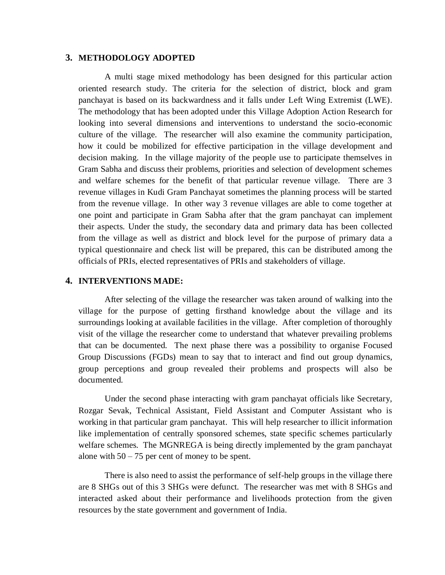#### **3. METHODOLOGY ADOPTED**

A multi stage mixed methodology has been designed for this particular action oriented research study. The criteria for the selection of district, block and gram panchayat is based on its backwardness and it falls under Left Wing Extremist (LWE). The methodology that has been adopted under this Village Adoption Action Research for looking into several dimensions and interventions to understand the socio-economic culture of the village. The researcher will also examine the community participation, how it could be mobilized for effective participation in the village development and decision making. In the village majority of the people use to participate themselves in Gram Sabha and discuss their problems, priorities and selection of development schemes and welfare schemes for the benefit of that particular revenue village. There are 3 revenue villages in Kudi Gram Panchayat sometimes the planning process will be started from the revenue village. In other way 3 revenue villages are able to come together at one point and participate in Gram Sabha after that the gram panchayat can implement their aspects. Under the study, the secondary data and primary data has been collected from the village as well as district and block level for the purpose of primary data a typical questionnaire and check list will be prepared, this can be distributed among the officials of PRIs, elected representatives of PRIs and stakeholders of village.

### **4. INTERVENTIONS MADE:**

After selecting of the village the researcher was taken around of walking into the village for the purpose of getting firsthand knowledge about the village and its surroundings looking at available facilities in the village. After completion of thoroughly visit of the village the researcher come to understand that whatever prevailing problems that can be documented. The next phase there was a possibility to organise Focused Group Discussions (FGDs) mean to say that to interact and find out group dynamics, group perceptions and group revealed their problems and prospects will also be documented.

Under the second phase interacting with gram panchayat officials like Secretary, Rozgar Sevak, Technical Assistant, Field Assistant and Computer Assistant who is working in that particular gram panchayat. This will help researcher to illicit information like implementation of centrally sponsored schemes, state specific schemes particularly welfare schemes. The MGNREGA is being directly implemented by the gram panchayat alone with  $50 - 75$  per cent of money to be spent.

There is also need to assist the performance of self-help groups in the village there are 8 SHGs out of this 3 SHGs were defunct. The researcher was met with 8 SHGs and interacted asked about their performance and livelihoods protection from the given resources by the state government and government of India.